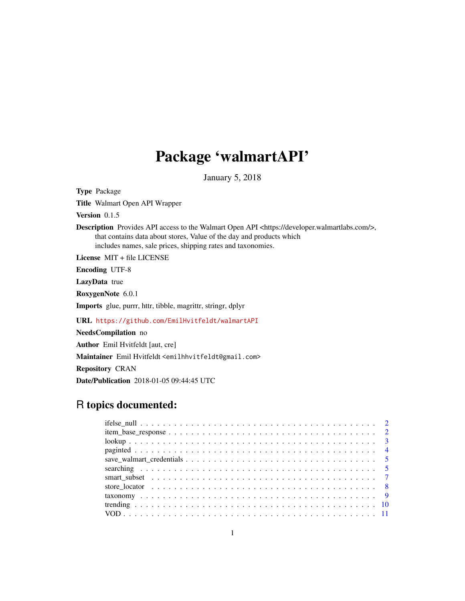# Package 'walmartAPI'

January 5, 2018

Type Package Title Walmart Open API Wrapper

Version 0.1.5

Description Provides API access to the Walmart Open API <https://developer.walmartlabs.com/>, that contains data about stores, Value of the day and products which includes names, sale prices, shipping rates and taxonomies.

License MIT + file LICENSE

Encoding UTF-8

LazyData true

RoxygenNote 6.0.1

Imports glue, purrr, httr, tibble, magrittr, stringr, dplyr

URL <https://github.com/EmilHvitfeldt/walmartAPI>

NeedsCompilation no Author Emil Hvitfeldt [aut, cre] Maintainer Emil Hvitfeldt <emilhhvitfeldt@gmail.com> Repository CRAN Date/Publication 2018-01-05 09:44:45 UTC

# R topics documented: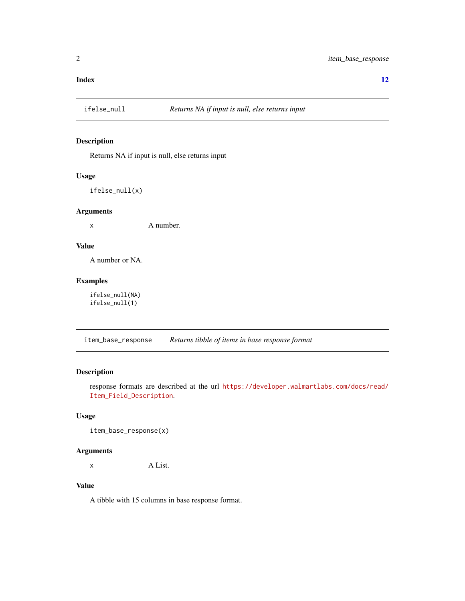#### <span id="page-1-0"></span>**Index** [12](#page-11-0)

# Description

Returns NA if input is null, else returns input

#### Usage

ifelse\_null(x)

# Arguments

x A number.

# Value

A number or NA.

# Examples

ifelse\_null(NA) ifelse\_null(1)

item\_base\_response *Returns tibble of items in base response format*

# Description

response formats are described at the url [https://developer.walmartlabs.com/docs/read/](https://developer.walmartlabs.com/docs/read/Item_Field_Description) [Item\\_Field\\_Description](https://developer.walmartlabs.com/docs/read/Item_Field_Description).

#### Usage

```
item_base_response(x)
```
#### Arguments

x A List.

# Value

A tibble with 15 columns in base response format.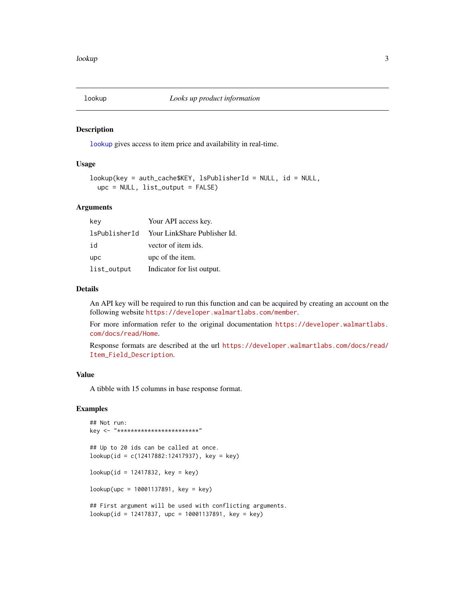<span id="page-2-1"></span><span id="page-2-0"></span>

[lookup](#page-2-1) gives access to item price and availability in real-time.

# Usage

```
lookup(key = auth_cache$KEY, lsPublisherId = NULL, id = NULL,
  upc = NULL, list_output = FALSE)
```
#### Arguments

| key           | Your API access key.         |
|---------------|------------------------------|
| lsPublisherId | Your LinkShare Publisher Id. |
| id            | vector of item ids.          |
| upc           | upc of the item.             |
| list_output   | Indicator for list output.   |

# Details

An API key will be required to run this function and can be acquired by creating an account on the following website <https://developer.walmartlabs.com/member>.

For more information refer to the original documentation [https://developer.walmartlabs.](https://developer.walmartlabs.com/docs/read/Home) [com/docs/read/Home](https://developer.walmartlabs.com/docs/read/Home).

Response formats are described at the url [https://developer.walmartlabs.com/docs/read/](https://developer.walmartlabs.com/docs/read/Item_Field_Description) [Item\\_Field\\_Description](https://developer.walmartlabs.com/docs/read/Item_Field_Description).

#### Value

A tibble with 15 columns in base response format.

```
## Not run:
key <- "************************"
## Up to 20 ids can be called at once.
lookup(id = c(12417882:12417937), key = key)
lookup(id = 12417832, key = key)
lookup(upc = 10001137891, key = key)
## First argument will be used with conflicting arguments.
lookup(id = 12417837, upc = 10001137891, key = key)
```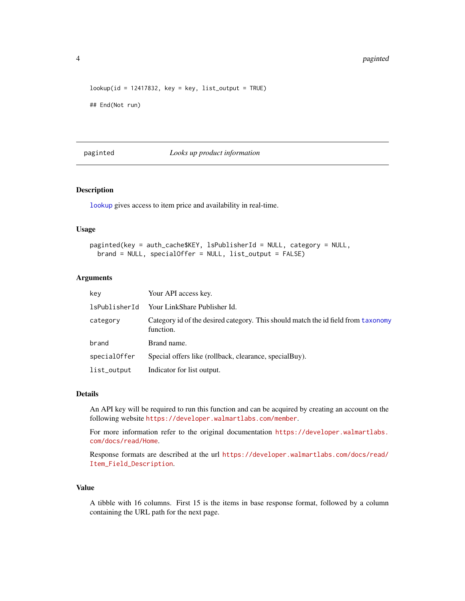```
lookup(id = 12417832, key = key, list_output = TRUE)## End(Not run)
```
#### paginted *Looks up product information*

#### Description

[lookup](#page-2-1) gives access to item price and availability in real-time.

# Usage

```
paginted(key = auth_cache$KEY, lsPublisherId = NULL, category = NULL,
 brand = NULL, specialOffer = NULL, list_output = FALSE)
```
#### Arguments

| kev           | Your API access key.                                                                           |
|---------------|------------------------------------------------------------------------------------------------|
| lsPublisherId | Your LinkShare Publisher Id.                                                                   |
| category      | Category id of the desired category. This should match the id field from taxonomy<br>function. |
| brand         | Brand name.                                                                                    |
| specialOffer  | Special offers like (rollback, clearance, special Buy).                                        |
| list_output   | Indicator for list output.                                                                     |

#### Details

An API key will be required to run this function and can be acquired by creating an account on the following website <https://developer.walmartlabs.com/member>.

For more information refer to the original documentation [https://developer.walmartlabs.](https://developer.walmartlabs.com/docs/read/Home) [com/docs/read/Home](https://developer.walmartlabs.com/docs/read/Home).

Response formats are described at the url [https://developer.walmartlabs.com/docs/read/](https://developer.walmartlabs.com/docs/read/Item_Field_Description) [Item\\_Field\\_Description](https://developer.walmartlabs.com/docs/read/Item_Field_Description).

# Value

A tibble with 16 columns. First 15 is the items in base response format, followed by a column containing the URL path for the next page.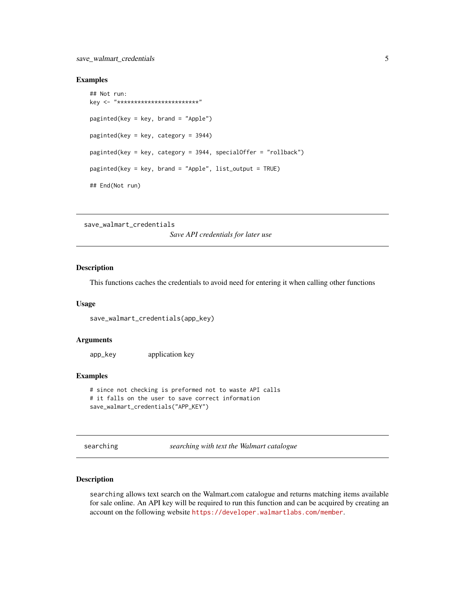#### <span id="page-4-0"></span>Examples

```
## Not run:
key <- "************************"
paginted(key = key, brand = "Apple")
paginted(key = key, category = 3944)
paginted(key = key, category = 3944, specialOffer = "rollback")
paginted(key = key, brand = "Apple", list_output = TRUE)
## End(Not run)
```
save\_walmart\_credentials

*Save API credentials for later use*

#### Description

This functions caches the credentials to avoid need for entering it when calling other functions

#### Usage

save\_walmart\_credentials(app\_key)

#### Arguments

app\_key application key

#### Examples

```
# since not checking is preformed not to waste API calls
# it falls on the user to save correct information
save_walmart_credentials("APP_KEY")
```
searching *searching with text the Walmart catalogue*

# Description

searching allows text search on the Walmart.com catalogue and returns matching items available for sale online. An API key will be required to run this function and can be acquired by creating an account on the following website <https://developer.walmartlabs.com/member>.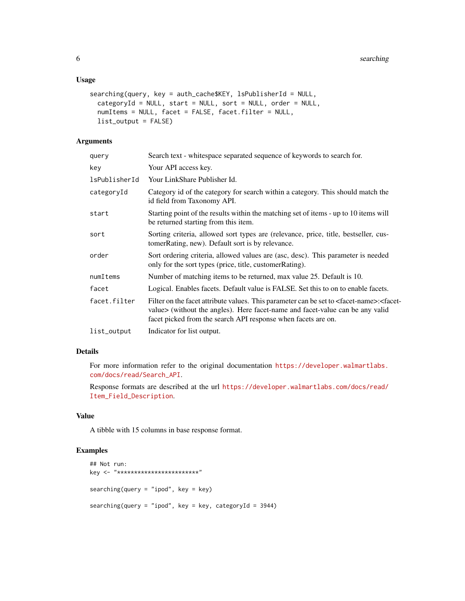#### Usage

```
searching(query, key = auth_cache$KEY, lsPublisherId = NULL,
 categoryId = NULL, start = NULL, sort = NULL, order = NULL,
 numItems = NULL, facet = FALSE, facet.filter = NULL,
 list_output = FALSE)
```
# Arguments

| query         | Search text - whitespace separated sequence of keywords to search for.                                                                                                                                                                                                 |
|---------------|------------------------------------------------------------------------------------------------------------------------------------------------------------------------------------------------------------------------------------------------------------------------|
| key           | Your API access key.                                                                                                                                                                                                                                                   |
| lsPublisherId | Your LinkShare Publisher Id.                                                                                                                                                                                                                                           |
| categoryId    | Category id of the category for search within a category. This should match the<br>id field from Taxonomy API.                                                                                                                                                         |
| start         | Starting point of the results within the matching set of items - up to 10 items will<br>be returned starting from this item.                                                                                                                                           |
| sort          | Sorting criteria, allowed sort types are (relevance, price, title, bestseller, cus-<br>tomerRating, new). Default sort is by relevance.                                                                                                                                |
| order         | Sort ordering criteria, allowed values are (asc, desc). This parameter is needed<br>only for the sort types (price, title, customer Rating).                                                                                                                           |
| numItems      | Number of matching items to be returned, max value 25. Default is 10.                                                                                                                                                                                                  |
| facet         | Logical. Enables facets. Default value is FALSE. Set this to on to enable facets.                                                                                                                                                                                      |
| facet.filter  | Filter on the facet attribute values. This parameter can be set to <facet-name>:<facet-<br>value&gt; (without the angles). Here facet-name and facet-value can be any valid<br/>facet picked from the search API response when facets are on.</facet-<br></facet-name> |
| list_output   | Indicator for list output.                                                                                                                                                                                                                                             |

# Details

For more information refer to the original documentation [https://developer.walmartlabs.](https://developer.walmartlabs.com/docs/read/Search_API) [com/docs/read/Search\\_API](https://developer.walmartlabs.com/docs/read/Search_API).

Response formats are described at the url [https://developer.walmartlabs.com/docs/read/](https://developer.walmartlabs.com/docs/read/Item_Field_Description) [Item\\_Field\\_Description](https://developer.walmartlabs.com/docs/read/Item_Field_Description).

# Value

A tibble with 15 columns in base response format.

```
## Not run:
key <- "************************"
searching(query = "ipod", key = key)
searching(query = "ipod", key = key, categoryId = 3944)
```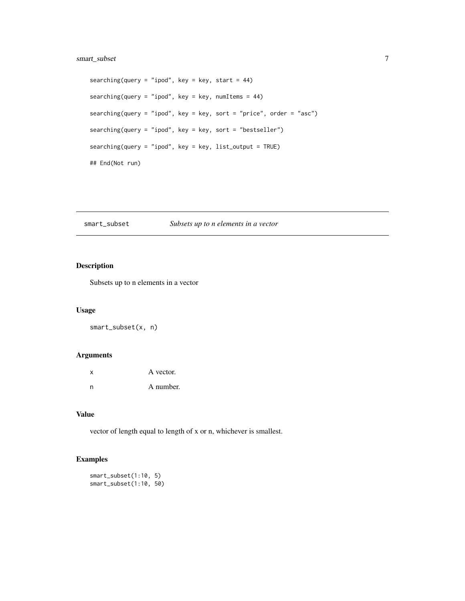<span id="page-6-0"></span>searching(query = "ipod", key = key, start =  $44$ ) searching(query = "ipod", key = key, numItems = 44) searching(query = "ipod", key = key, sort = "price", order = "asc") searching(query = "ipod", key = key, sort = "bestseller") searching(query = "ipod", key = key, list\_output = TRUE) ## End(Not run)

smart\_subset *Subsets up to n elements in a vector*

# Description

Subsets up to n elements in a vector

#### Usage

smart\_subset(x, n)

# Arguments

| x | A vector. |
|---|-----------|
| n | A number. |

#### Value

vector of length equal to length of x or n, whichever is smallest.

# Examples

smart\_subset(1:10, 5) smart\_subset(1:10, 50)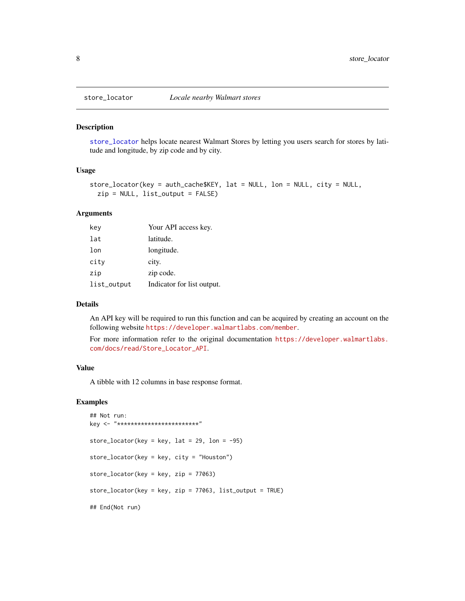[store\\_locator](#page-7-1) helps locate nearest Walmart Stores by letting you users search for stores by latitude and longitude, by zip code and by city.

### Usage

```
store_locator(key = auth_cache$KEY, lat = NULL, lon = NULL, city = NULL,
 zip = NULL, list_output = FALSE)
```
# Arguments

| key         | Your API access key.       |
|-------------|----------------------------|
| lat         | latitude.                  |
| lon         | longitude.                 |
| city        | city.                      |
| zip         | zip code.                  |
| list_output | Indicator for list output. |

# Details

An API key will be required to run this function and can be acquired by creating an account on the following website <https://developer.walmartlabs.com/member>.

```
For more information refer to the original documentation https://developer.walmartlabs.
com/docs/read/Store_Locator_API.
```
# Value

A tibble with 12 columns in base response format.

```
## Not run:
key <- "************************"
store_locator(key = key, lat = 29, lon = -95)
store_locator(key = key, city = "Houston")
store_locator(key = key, zip = 77063)
store_locator(key = key, zip = 77063, list_output = TRUE)
## End(Not run)
```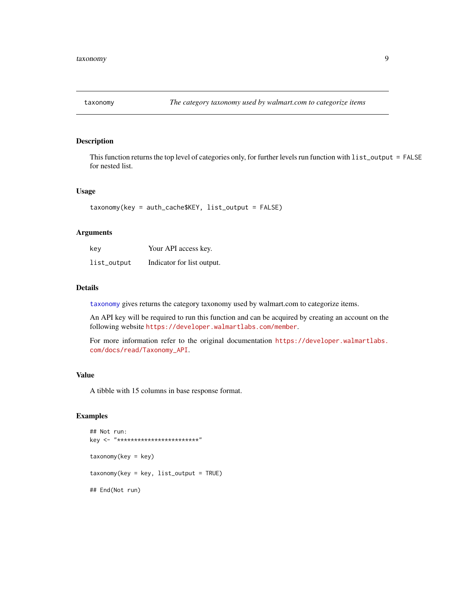<span id="page-8-1"></span><span id="page-8-0"></span>

This function returns the top level of categories only, for further levels run function with list\_output = FALSE for nested list.

#### Usage

```
taxonomy(key = auth_cache$KEY, list_output = FALSE)
```
#### Arguments

| kev         | Your API access key.       |
|-------------|----------------------------|
| list_output | Indicator for list output. |

# Details

[taxonomy](#page-8-1) gives returns the category taxonomy used by walmart.com to categorize items.

An API key will be required to run this function and can be acquired by creating an account on the following website <https://developer.walmartlabs.com/member>.

For more information refer to the original documentation [https://developer.walmartlabs.](https://developer.walmartlabs.com/docs/read/Taxonomy_API) [com/docs/read/Taxonomy\\_API](https://developer.walmartlabs.com/docs/read/Taxonomy_API).

#### Value

A tibble with 15 columns in base response format.

```
## Not run:
key <- "************************"
taxonomy(key = key)
taxonomy(key = key, list_count = TRUE)## End(Not run)
```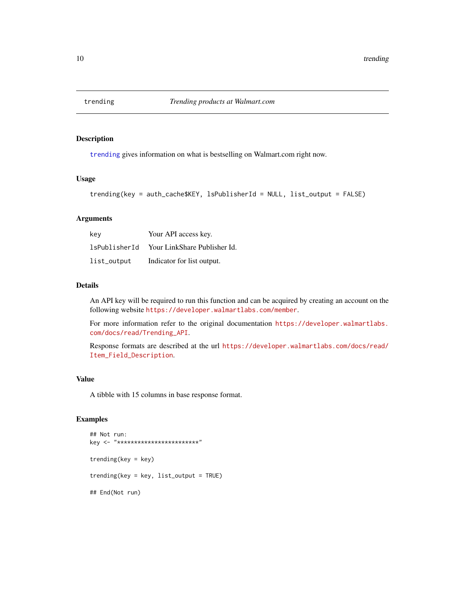<span id="page-9-1"></span><span id="page-9-0"></span>

[trending](#page-9-1) gives information on what is bestselling on Walmart.com right now.

#### Usage

```
trending(key = auth_cache$KEY, lsPublisherId = NULL, list_output = FALSE)
```
#### Arguments

| key           | Your API access key.         |
|---------------|------------------------------|
| lsPublisherId | Your LinkShare Publisher Id. |
| list_output   | Indicator for list output.   |

#### Details

An API key will be required to run this function and can be acquired by creating an account on the following website <https://developer.walmartlabs.com/member>.

For more information refer to the original documentation [https://developer.walmartlabs.](https://developer.walmartlabs.com/docs/read/Trending_API) [com/docs/read/Trending\\_API](https://developer.walmartlabs.com/docs/read/Trending_API).

Response formats are described at the url [https://developer.walmartlabs.com/docs/read/](https://developer.walmartlabs.com/docs/read/Item_Field_Description) [Item\\_Field\\_Description](https://developer.walmartlabs.com/docs/read/Item_Field_Description).

# Value

A tibble with 15 columns in base response format.

```
## Not run:
key <- "************************"
trending(key = key)
trending(key = key, list_output = TRUE)
## End(Not run)
```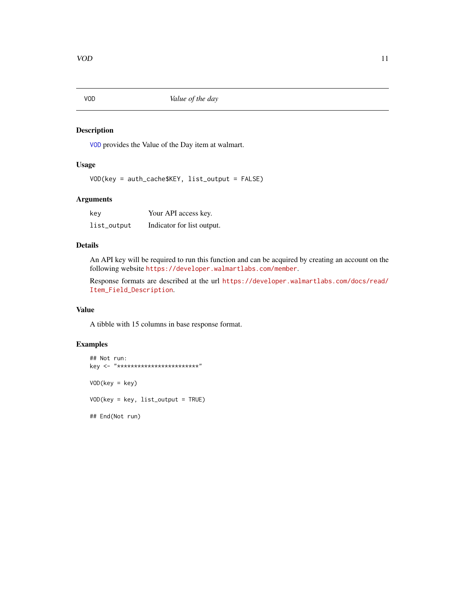<span id="page-10-1"></span><span id="page-10-0"></span>

[VOD](#page-10-1) provides the Value of the Day item at walmart.

# Usage

VOD(key = auth\_cache\$KEY, list\_output = FALSE)

# Arguments

| kev         | Your API access key.       |
|-------------|----------------------------|
| list_output | Indicator for list output. |

# Details

An API key will be required to run this function and can be acquired by creating an account on the following website <https://developer.walmartlabs.com/member>.

Response formats are described at the url [https://developer.walmartlabs.com/docs/read/](https://developer.walmartlabs.com/docs/read/Item_Field_Description) [Item\\_Field\\_Description](https://developer.walmartlabs.com/docs/read/Item_Field_Description).

# Value

A tibble with 15 columns in base response format.

# Examples

## Not run: key <- "\*\*\*\*\*\*\*\*\*\*\*\*\*\*\*\*\*\*\*\*\*\*\*\*" VOD(key = key) VOD(key = key, list\_output = TRUE) ## End(Not run)